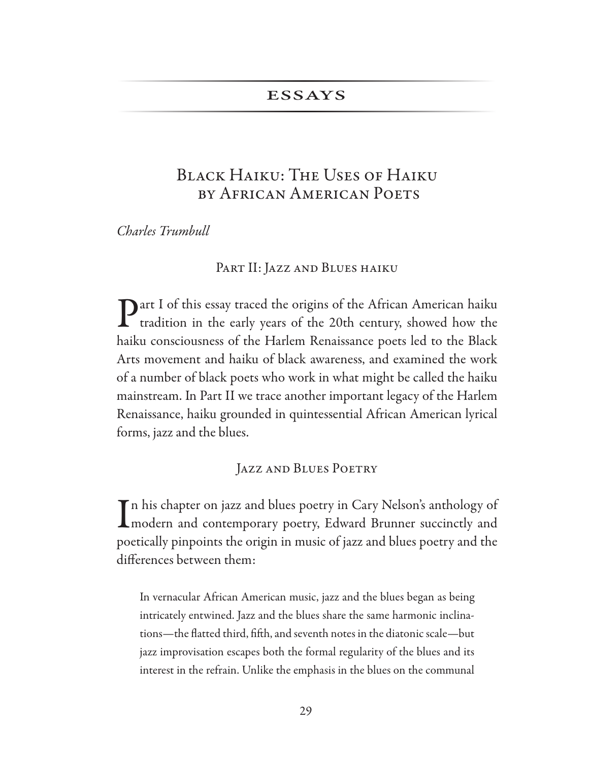# **ESSAYS**

# Black Haiku: The Uses of Haiku by African American Poets

Charles Trumbull

### PART II: JAZZ AND BLUES HAIKU

 $\bigcap$  art I of this essay traced the origins of the African American haiku tradition in the early years of the 20th century, showed how the haiku consciousness of the Harlem Renaissance poets led to the Black Arts movement and haiku of black awareness, and examined the work of a number of black poets who work in what might be called the haiku mainstream. In Part II we trace another important legacy of the Harlem Renaissance, haiku grounded in quintessential African American lyrical forms, jazz and the blues.

# Jazz and Blues Poetry

In his chapter on jazz and blues poetry in Cary Nelson's anthology of<br>
modern and contemporary poetry, Edward Brunner succinctly and<br>
international contemporary poetry, Edward Brunner succinctly and Tn his chapter on jazz and blues poetry in Cary Nelson's anthology of poetically pinpoints the origin in music of jazz and blues poetry and the differences between them:

In vernacular African American music, jazz and the blues began as being intricately entwined. Jazz and the blues share the same harmonic inclinations—the flatted third, fifth, and seventh notes in the diatonic scale—but jazz improvisation escapes both the formal regularity of the blues and its interest in the refrain. Unlike the emphasis in the blues on the communal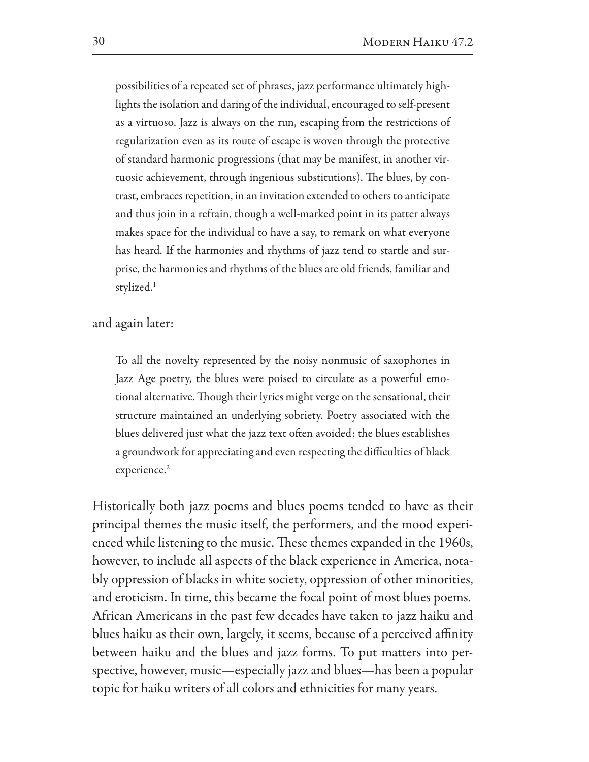possibilities of a repeated set of phrases, jazz performance ultimately highlights the isolation and daring of the individual, encouraged to self-present as a virtuoso. Jazz is always on the run, escaping from the restrictions of regularization even as its route of escape is woven through the protective of standard harmonic progressions (that may be manifest, in another virtuosic achievement, through ingenious substitutions). The blues, by contrast, embraces repetition, in an invitation extended to others to anticipate and thus join in a refrain, though a well-marked point in its patter always makes space for the individual to have a say, to remark on what everyone has heard. If the harmonies and rhythms of jazz tend to startle and surprise, the harmonies and rhythms of the blues are old friends, familiar and stylized.<sup>1</sup>

and again later:

To all the novelty represented by the noisy nonmusic of saxophones in Jazz Age poetry, the blues were poised to circulate as a powerful emotional alternative. Though their lyrics might verge on the sensational, their structure maintained an underlying sobriety. Poetry associated with the blues delivered just what the jazz text often avoided: the blues establishes a groundwork for appreciating and even respecting the difficulties of black experience.<sup>2</sup>

Historically both jazz poems and blues poems tended to have as their principal themes the music itself, the performers, and the mood experienced while listening to the music. These themes expanded in the 1960s, however, to include all aspects of the black experience in America, notably oppression of blacks in white society, oppression of other minorities, and eroticism. In time, this became the focal point of most blues poems. African Americans in the past few decades have taken to jazz haiku and blues haiku as their own, largely, it seems, because of a perceived affinity between haiku and the blues and jazz forms. To put matters into perspective, however, music—especially jazz and blues—has been a popular topic for haiku writers of all colors and ethnicities for many years.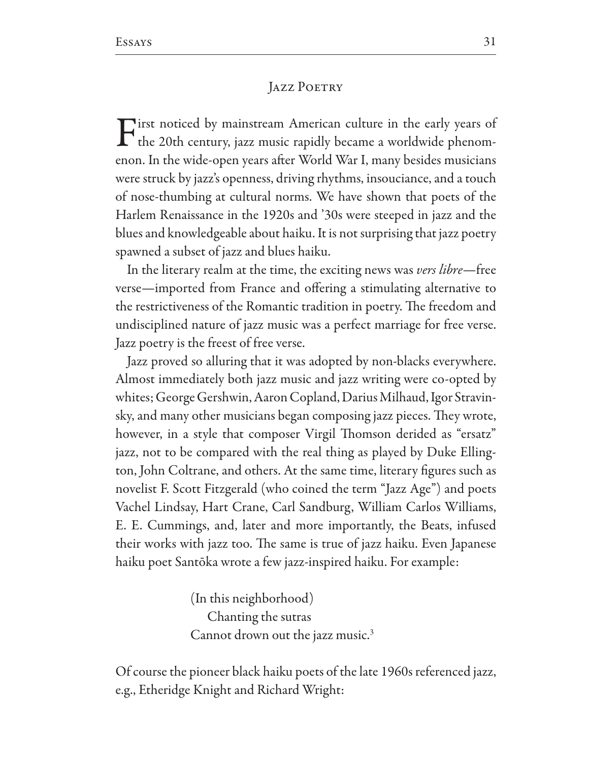#### **JAZZ POETRY**

irst noticed by mainstream American culture in the early years of  $\Gamma$  the 20th century, jazz music rapidly became a worldwide phenomenon. In the wide-open years after World War I, many besides musicians were struck by jazz's openness, driving rhythms, insouciance, and a touch of nose-thumbing at cultural norms. We have shown that poets of the Harlem Renaissance in the 1920s and '30s were steeped in jazz and the blues and knowledgeable about haiku. It is not surprising that jazz poetry spawned a subset of jazz and blues haiku.

In the literary realm at the time, the exciting news was *vers libre*—free verse—imported from France and offering a stimulating alternative to the restrictiveness of the Romantic tradition in poetry. The freedom and undisciplined nature of jazz music was a perfect marriage for free verse. Jazz poetry is the freest of free verse.

Jazz proved so alluring that it was adopted by non-blacks everywhere. Almost immediately both jazz music and jazz writing were co-opted by whites; George Gershwin, Aaron Copland, Darius Milhaud, Igor Stravinsky, and many other musicians began composing jazz pieces. They wrote, however, in a style that composer Virgil Thomson derided as "ersatz" jazz, not to be compared with the real thing as played by Duke Ellington, John Coltrane, and others. At the same time, literary figures such as novelist F. Scott Fitzgerald (who coined the term "Jazz Age") and poets Vachel Lindsay, Hart Crane, Carl Sandburg, William Carlos Williams, E. E. Cummings, and, later and more importantly, the Beats, infused their works with jazz too. The same is true of jazz haiku. Even Japanese haiku poet Santōka wrote a few jazz-inspired haiku. For example:

> (In this neighborhood) Chanting the sutras Cannot drown out the jazz music.<sup>3</sup>

Of course the pioneer black haiku poets of the late 1960s referenced jazz, e.g., Etheridge Knight and Richard Wright: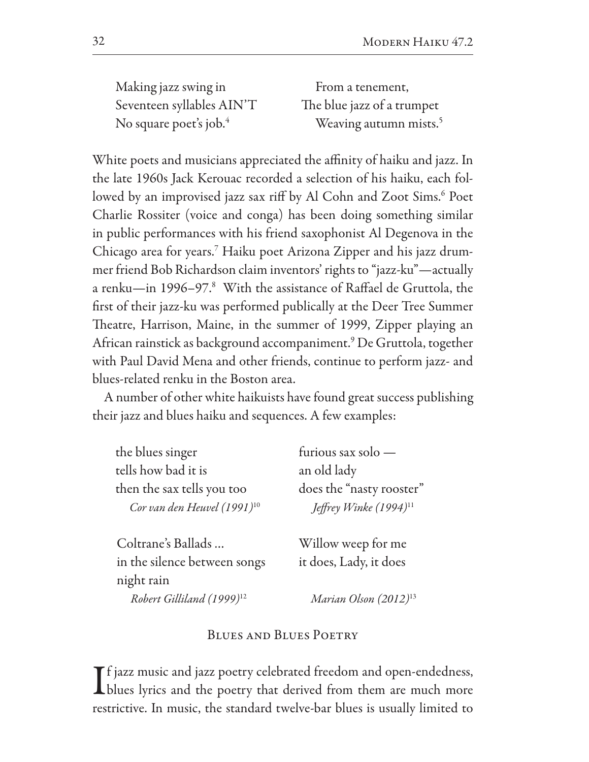Making jazz swing in Seventeen syllables AIN'T No square poet's job.<sup>4</sup>

From a tenement. The blue jazz of a trumpet Weaving autumn mists.<sup>5</sup>

White poets and musicians appreciated the affinity of haiku and jazz. In the late 1960s Jack Kerouac recorded a selection of his haiku, each followed by an improvised jazz sax riff by Al Cohn and Zoot Sims.<sup>6</sup> Poet Charlie Rossiter (voice and conga) has been doing something similar in public performances with his friend saxophonist Al Degenova in the Chicago area for years.<sup>7</sup> Haiku poet Arizona Zipper and his jazz drummer friend Bob Richardson claim inventors' rights to "jazz-ku"—actually a renku-in 1996-97.8 With the assistance of Raffael de Gruttola, the first of their jazz-ku was performed publically at the Deer Tree Summer Theatre, Harrison, Maine, in the summer of 1999, Zipper playing an African rainstick as background accompaniment.<sup>9</sup> De Gruttola, together with Paul David Mena and other friends, continue to perform jazz- and blues-related renku in the Boston area.

A number of other white haikuists have found great success publishing their jazz and blues haiku and sequences. A few examples:

| the blues singer                 | furious sax solo -                 |
|----------------------------------|------------------------------------|
| tells how bad it is              | an old lady                        |
| then the sax tells you too       | does the "nasty rooster"           |
| Cor van den Heuvel $(1991)^{10}$ | Jeffrey Winke (1994) <sup>11</sup> |
| Coltrane's Ballads               | Willow weep for me                 |
| in the silence between songs     | it does, Lady, it does             |

Robert Gilliland (1999)<sup>12</sup>

night rain

Marian Olson (2012)<sup>13</sup>

### **BLUES AND BLUES POETRY**

 $\mathbf T$  f jazz music and jazz poetry celebrated freedom and open-endedness, Thlues lyrics and the poetry that derived from them are much more restrictive. In music, the standard twelve-bar blues is usually limited to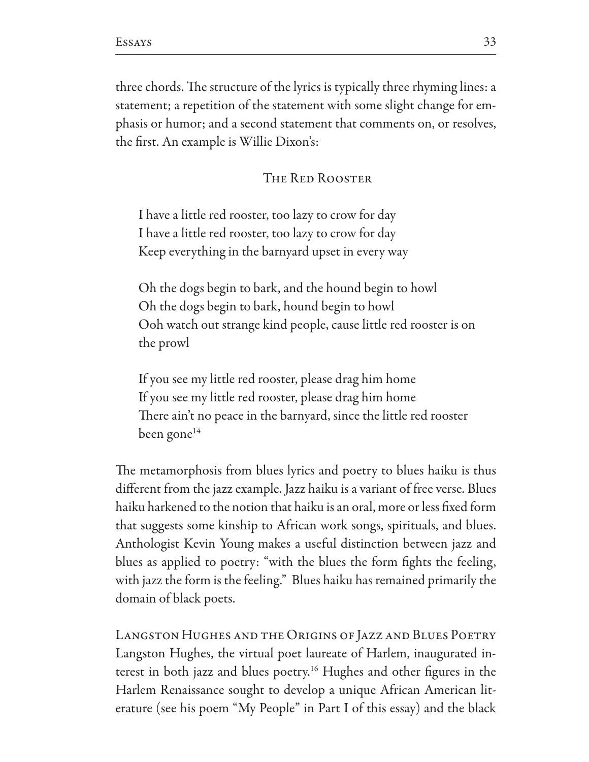three chords. The structure of the lyrics is typically three rhyming lines: a statement; a repetition of the statement with some slight change for emphasis or humor; and a second statement that comments on, or resolves, the first. An example is Willie Dixon's:

# THE RED ROOSTER

I have a little red rooster, too lazy to crow for day I have a little red rooster, too lazy to crow for day Keep everything in the barnyard upset in every way

Oh the dogs begin to bark, and the hound begin to howl Oh the dogs begin to bark, hound begin to howl Ooh watch out strange kind people, cause little red rooster is on the prowl

If you see my little red rooster, please drag him home If you see my little red rooster, please drag him home There ain't no peace in the barnyard, since the little red rooster been gone<sup>14</sup>

The metamorphosis from blues lyrics and poetry to blues haiku is thus different from the jazz example. Jazz haiku is a variant of free verse. Blues haiku harkened to the notion that haiku is an oral, more or less fixed form that suggests some kinship to African work songs, spirituals, and blues. Anthologist Kevin Young makes a useful distinction between jazz and blues as applied to poetry: "with the blues the form fights the feeling, with jazz the form is the feeling." Blues haiku has remained primarily the domain of black poets.

LANGSTON HUGHES AND THE ORIGINS OF JAZZ AND BLUES POETRY Langston Hughes, the virtual poet laureate of Harlem, inaugurated interest in both jazz and blues poetry.<sup>16</sup> Hughes and other figures in the Harlem Renaissance sought to develop a unique African American literature (see his poem "My People" in Part I of this essay) and the black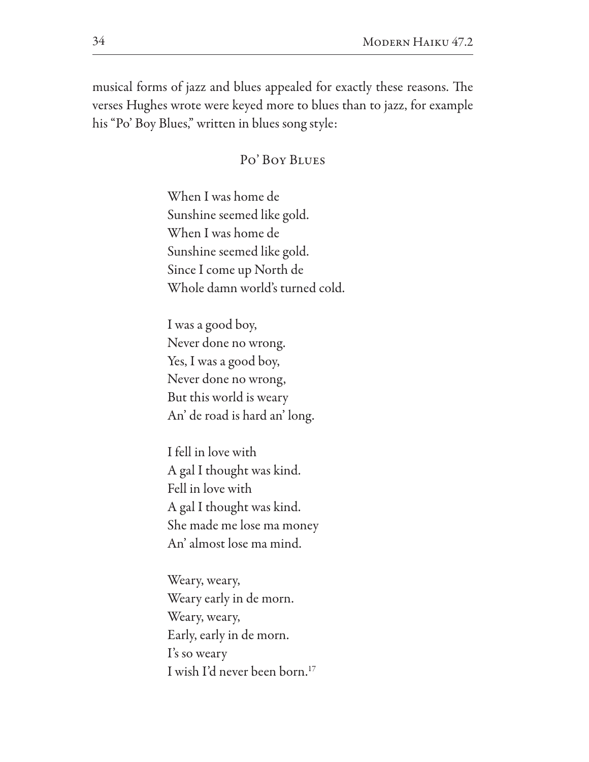musical forms of jazz and blues appealed for exactly these reasons. The verses Hughes wrote were keyed more to blues than to jazz, for example his "Po' Boy Blues," written in blues song style:

# Po' Boy BLUES

When I was home de Sunshine seemed like gold. When I was home de Sunshine seemed like gold. Since I come up North de Whole damn world's turned cold.

I was a good boy, Never done no wrong. Yes, I was a good boy, Never done no wrong, But this world is weary An' de road is hard an' long.

I fell in love with A gal I thought was kind. Fell in love with A gal I thought was kind. She made me lose ma money An' almost lose ma mind.

Weary, weary, Weary early in de morn. Weary, weary, Early, early in de morn. I's so weary I wish I'd never been born.<sup>17</sup>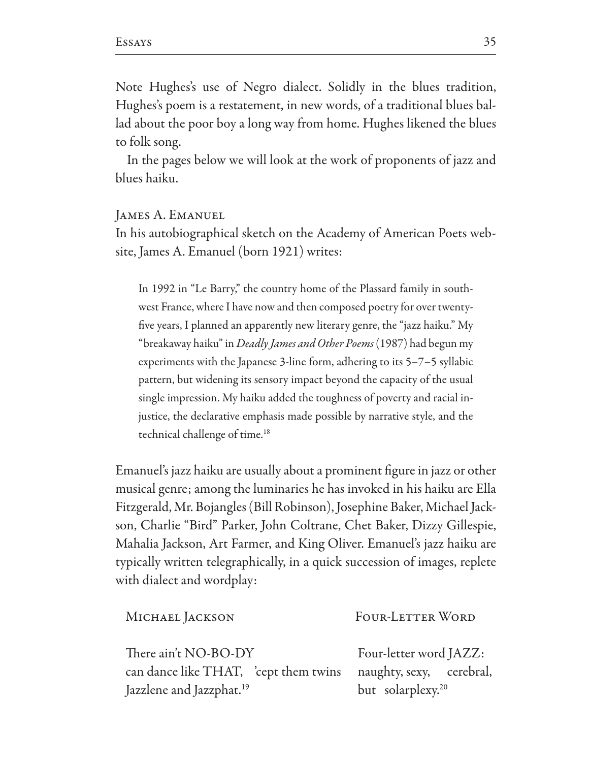Note Hughes's use of Negro dialect. Solidly in the blues tradition, Hughes's poem is a restatement, in new words, of a traditional blues ballad about the poor boy a long way from home. Hughes likened the blues to folk song.

In the pages below we will look at the work of proponents of jazz and blues haiku.

**JAMES A. EMANUEL** 

In his autobiographical sketch on the Academy of American Poets website, James A. Emanuel (born 1921) writes:

In 1992 in "Le Barry," the country home of the Plassard family in southwest France, where I have now and then composed poetry for over twentyfive years, I planned an apparently new literary genre, the "jazz haiku." My "breakaway haiku" in *Deadly James and Other Poems* (1987) had begun my experiments with the Japanese  $3$ -line form, adhering to its  $5-7-5$  syllabic pattern, but widening its sensory impact beyond the capacity of the usual single impression. My haiku added the toughness of poverty and racial injustice, the declarative emphasis made possible by narrative style, and the technical challenge of time.<sup>18</sup>

Emanuel's jazz haiku are usually about a prominent figure in jazz or other musical genre; among the luminaries he has invoked in his haiku are Ella Fitzgerald, Mr. Bojangles (Bill Robinson), Josephine Baker, Michael Jackson, Charlie "Bird" Parker, John Coltrane, Chet Baker, Dizzy Gillespie, Mahalia Jackson, Art Farmer, and King Oliver. Emanuel's jazz haiku are typically written telegraphically, in a quick succession of images, replete with dialect and wordplay:

| MICHAEL JACKSON                       | FOUR-LETTER WORD              |
|---------------------------------------|-------------------------------|
| There ain't NO-BO-DY                  | Four-letter word JAZZ:        |
| can dance like THAT, 'cept them twins | naughty, sexy, cerebral,      |
| Jazzlene and Jazzphat. <sup>19</sup>  | but solarplexy. <sup>20</sup> |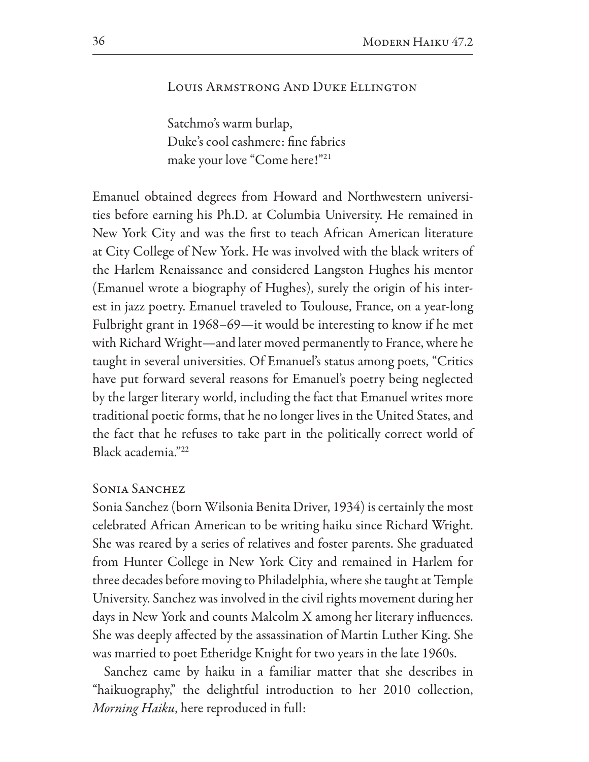# LOUIS ARMSTRONG AND DUKE ELLINGTON

Satchmo's warm burlap, Duke's cool cashmere: fine fabrics make your love "Come here!"<sup>21</sup>

Emanuel obtained degrees from Howard and Northwestern universities before earning his Ph.D. at Columbia University. He remained in New York City and was the first to teach African American literature at City College of New York. He was involved with the black writers of the Harlem Renaissance and considered Langston Hughes his mentor (Emanuel wrote a biography of Hughes), surely the origin of his interest in jazz poetry. Emanuel traveled to Toulouse, France, on a year-long Fulbright grant in 1968–69—it would be interesting to know if he met with Richard Wright—and later moved permanently to France, where he taught in several universities. Of Emanuel's status among poets, "Critics have put forward several reasons for Emanuel's poetry being neglected by the larger literary world, including the fact that Emanuel writes more traditional poetic forms, that he no longer lives in the United States, and the fact that he refuses to take part in the politically correct world of Black academia."22

# **SONIA SANCHEZ**

Sonia Sanchez (born Wilsonia Benita Driver, 1934) is certainly the most celebrated African American to be writing haiku since Richard Wright. She was reared by a series of relatives and foster parents. She graduated from Hunter College in New York City and remained in Harlem for three decades before moving to Philadelphia, where she taught at Temple University. Sanchez was involved in the civil rights movement during her days in New York and counts Malcolm X among her literary influences. She was deeply affected by the assassination of Martin Luther King. She was married to poet Etheridge Knight for two years in the late 1960s.

Sanchez came by haiku in a familiar matter that she describes in "haikuography," the delightful introduction to her 2010 collection, *Morning Haiku*, here reproduced in full: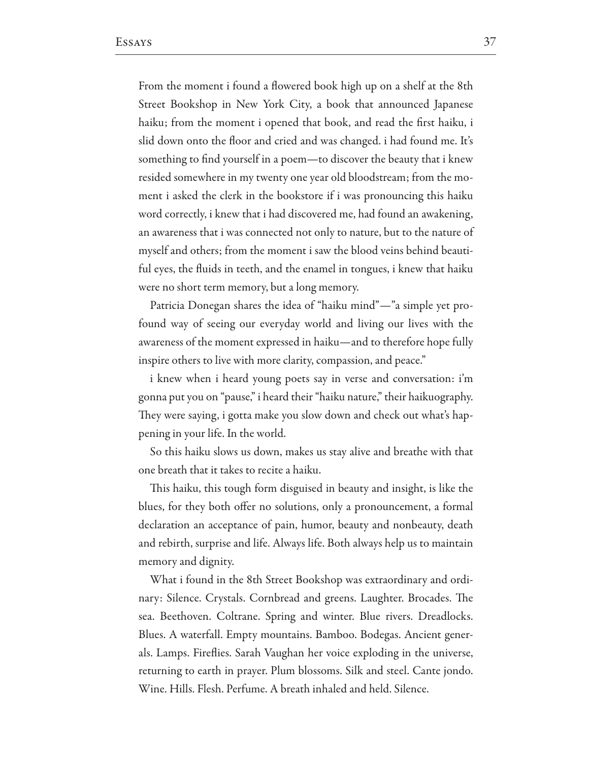From the moment i found a flowered book high up on a shelf at the 8th Street Bookshop in New York City, a book that announced Japanese haiku; from the moment i opened that book, and read the first haiku, i slid down onto the floor and cried and was changed. i had found me. It's something to find yourself in a poem—to discover the beauty that i knew resided somewhere in my twenty one year old bloodstream; from the moment i asked the clerk in the bookstore if i was pronouncing this haiku word correctly, i knew that i had discovered me, had found an awakening, an awareness that i was connected not only to nature, but to the nature of myself and others; from the moment i saw the blood veins behind beautiful eyes, the fluids in teeth, and the enamel in tongues, i knew that haiku were no short term memory, but a long memory.

Patricia Donegan shares the idea of "haiku mind"—"a simple yet profound way of seeing our everyday world and living our lives with the awareness of the moment expressed in haiku—and to therefore hope fully inspire others to live with more clarity, compassion, and peace."

i knew when i heard young poets say in verse and conversation: i'm gonna put you on "pause," i heard their "haiku nature," their haikuography. They were saying, i gotta make you slow down and check out what's happening in your life. In the world.

So this haiku slows us down, makes us stay alive and breathe with that one breath that it takes to recite a haiku.

This haiku, this tough form disguised in beauty and insight, is like the blues, for they both offer no solutions, only a pronouncement, a formal declaration an acceptance of pain, humor, beauty and nonbeauty, death and rebirth, surprise and life. Always life. Both always help us to maintain memory and dignity.

What i found in the 8th Street Bookshop was extraordinary and ordinary: Silence. Crystals. Cornbread and greens. Laughter. Brocades. The sea. Beethoven. Coltrane. Spring and winter. Blue rivers. Dreadlocks. Blues. A waterfall. Empty mountains. Bamboo. Bodegas. Ancient generals. Lamps. Fireflies. Sarah Vaughan her voice exploding in the universe, returning to earth in prayer. Plum blossoms. Silk and steel. Cante jondo. Wine. Hills. Flesh. Perfume. A breath inhaled and held. Silence.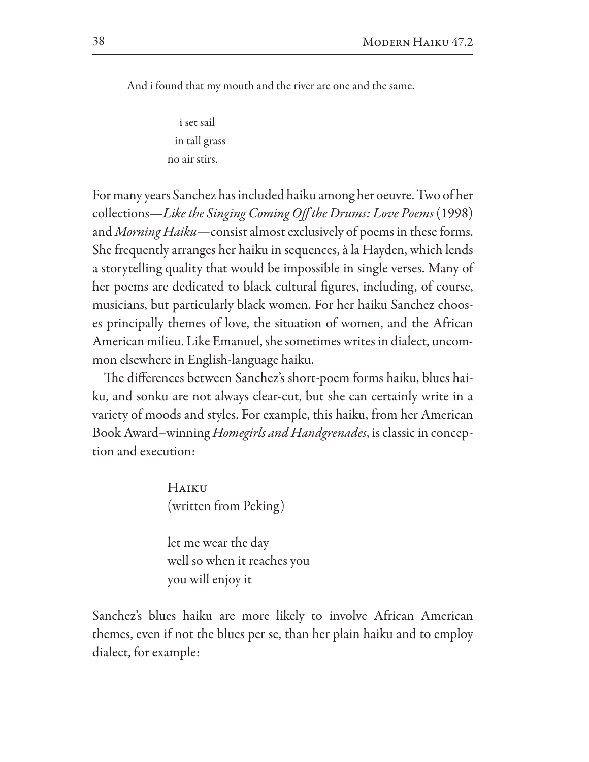And i found that my mouth and the river are one and the same.

i set sail in tall grass no air stirs.

For many years Sanchez has included haiku among her oeuvre. Two of her collections—Like the Singing Coming Off the Drums: Love Poems (1998) and *Morning Haiku*—consist almost exclusively of poems in these forms. She frequently arranges her haiku in sequences, à la Hayden, which lends a storytelling quality that would be impossible in single verses. Many of her poems are dedicated to black cultural figures, including, of course, musicians, but particularly black women. For her haiku Sanchez chooses principally themes of love, the situation of women, and the African American milieu. Like Emanuel, she sometimes writes in dialect, uncommon elsewhere in English-language haiku.

The differences between Sanchez's short-poem forms haiku, blues haiku, and sonku are not always clear-cut, but she can certainly write in a variety of moods and styles. For example, this haiku, from her American Book Award–winning Homegirls and Handgrenades, is classic in conception and execution:

> HAIKU (written from Peking)

let me wear the day well so when it reaches you you will enjoy it

Sanchez's blues haiku are more likely to involve African American themes, even if not the blues per se, than her plain haiku and to employ dialect, for example: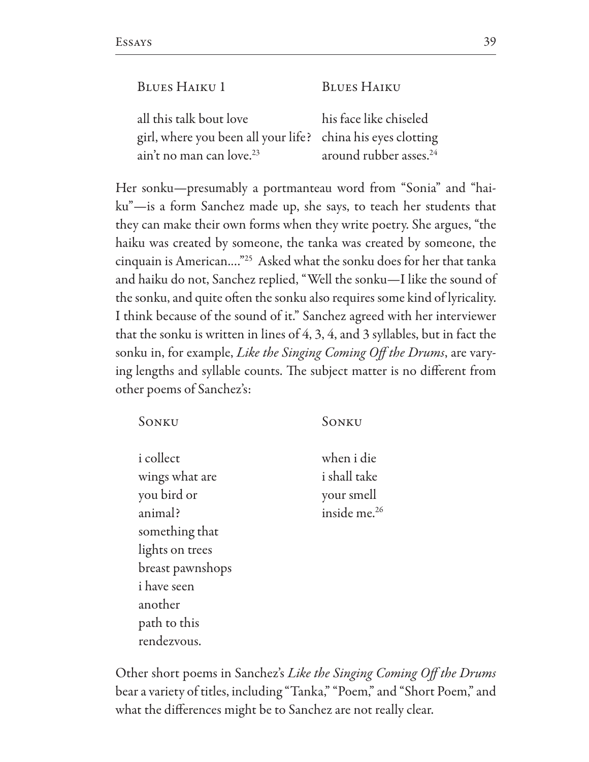| all this talk bout love                                     | his face like chiseled             |
|-------------------------------------------------------------|------------------------------------|
| girl, where you been all your life? china his eyes clotting |                                    |
| ain't no man can love. <sup>23</sup>                        | around rubber asses. <sup>24</sup> |

Her sonku—presumably a portmanteau word from "Sonia" and "haiku"-is a form Sanchez made up, she says, to teach her students that they can make their own forms when they write poetry. She argues, "the haiku was created by someone, the tanka was created by someone, the cinquain is American...."<sup>25</sup> Asked what the sonku does for her that tanka and haiku do not, Sanchez replied, "Well the sonku-I like the sound of the sonku, and quite often the sonku also requires some kind of lyricality. I think because of the sound of it." Sanchez agreed with her interviewer that the sonku is written in lines of 4, 3, 4, and 3 syllables, but in fact the sonku in, for example, Like the Singing Coming Off the Drums, are varying lengths and syllable counts. The subject matter is no different from other poems of Sanchez's:

| SONKU              | SONKU                    |
|--------------------|--------------------------|
| <i>i</i> collect   | when i die               |
| wings what are     | i shall take             |
| you bird or        | your smell               |
| animal?            | inside me. <sup>26</sup> |
| something that     |                          |
| lights on trees    |                          |
| breast pawnshops   |                          |
| <i>i</i> have seen |                          |
| another            |                          |
| path to this       |                          |
| rendezvous.        |                          |

Other short poems in Sanchez's Like the Singing Coming Off the Drums bear a variety of titles, including "Tanka," "Poem," and "Short Poem," and what the differences might be to Sanchez are not really clear.

39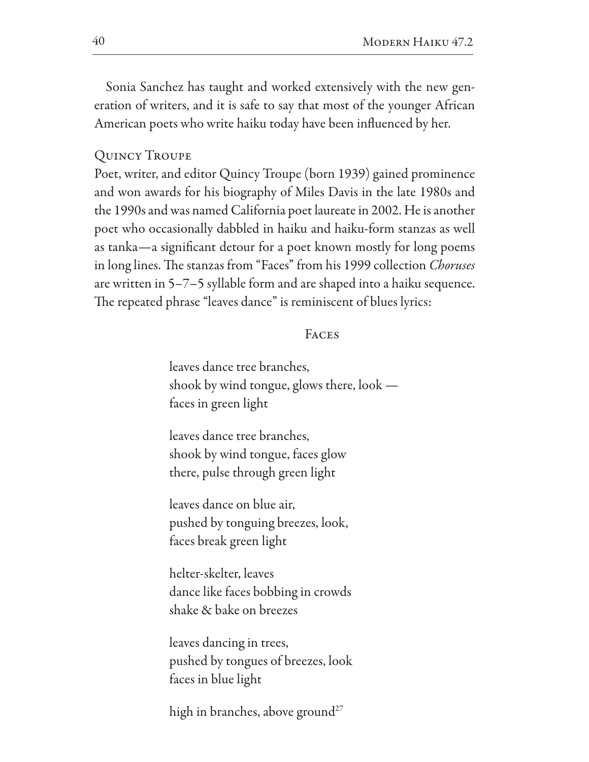Sonia Sanchez has taught and worked extensively with the new generation of writers, and it is safe to say that most of the younger African American poets who write haiku today have been influenced by her.

### **QUINCY TROUPE**

Poet, writer, and editor Quincy Troupe (born 1939) gained prominence and won awards for his biography of Miles Davis in the late 1980s and the 1990s and was named California poet laureate in 2002. He is another poet who occasionally dabbled in haiku and haiku-form stanzas as well as tanka—a significant detour for a poet known mostly for long poems in long lines. The stanzas from "Faces" from his 1999 collection *Choruses* are written in 5-7-5 syllable form and are shaped into a haiku sequence. The repeated phrase "leaves dance" is reminiscent of blues lyrics:

### **FACES**

leaves dance tree branches. shook by wind tongue, glows there,  $\text{look}$  faces in green light

leaves dance tree branches, shook by wind tongue, faces glow there, pulse through green light

leaves dance on blue air. pushed by tonguing breezes, look, faces break green light

helter-skelter, leaves dance like faces bobbing in crowds shake & bake on breezes

leaves dancing in trees, pushed by tongues of breezes, look faces in blue light

high in branches, above ground<sup>27</sup>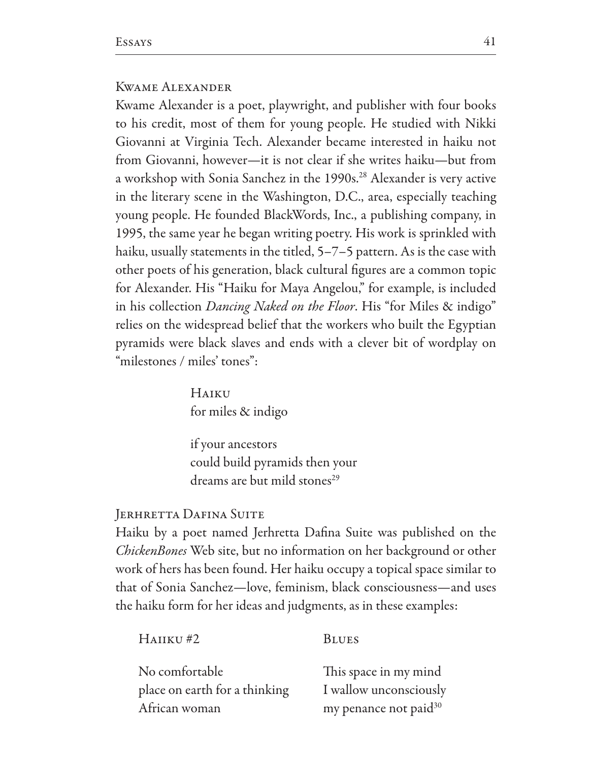### **KWAME ALEXANDER**

Kwame Alexander is a poet, playwright, and publisher with four books to his credit, most of them for young people. He studied with Nikki Giovanni at Virginia Tech. Alexander became interested in haiku not from Giovanni, however—it is not clear if she writes haiku—but from a workshop with Sonia Sanchez in the 1990s.<sup>28</sup> Alexander is very active in the literary scene in the Washington, D.C., area, especially teaching young people. He founded BlackWords, Inc., a publishing company, in 1995, the same year he began writing poetry. His work is sprinkled with haiku, usually statements in the titled,  $5-7-5$  pattern. As is the case with other poets of his generation, black cultural figures are a common topic for Alexander. His "Haiku for Maya Angelou," for example, is included in his collection *Dancing Naked on the Floor*. His "for Miles & indigo" relies on the widespread belief that the workers who built the Egyptian pyramids were black slaves and ends with a clever bit of wordplay on "milestones / miles' tones":

> HAIKU for miles & indigo

if your ancestors could build pyramids then your dreams are but mild stones<sup>29</sup>

#### **JERHRETTA DAFINA SUITE**

 $H$ AIIKU#2

Haiku by a poet named Jerhretta Dafina Suite was published on the *ChickenBones* Web site, but no information on her background or other work of hers has been found. Her haiku occupy a topical space similar to that of Sonia Sanchez—love, feminism, black consciousness—and uses the haiku form for her ideas and judgments, as in these examples:

**BLUES** 

| No comfortable                |  |
|-------------------------------|--|
| place on earth for a thinking |  |
| African woman                 |  |

This space in my mind I wallow unconsciously my penance not paid<sup>30</sup>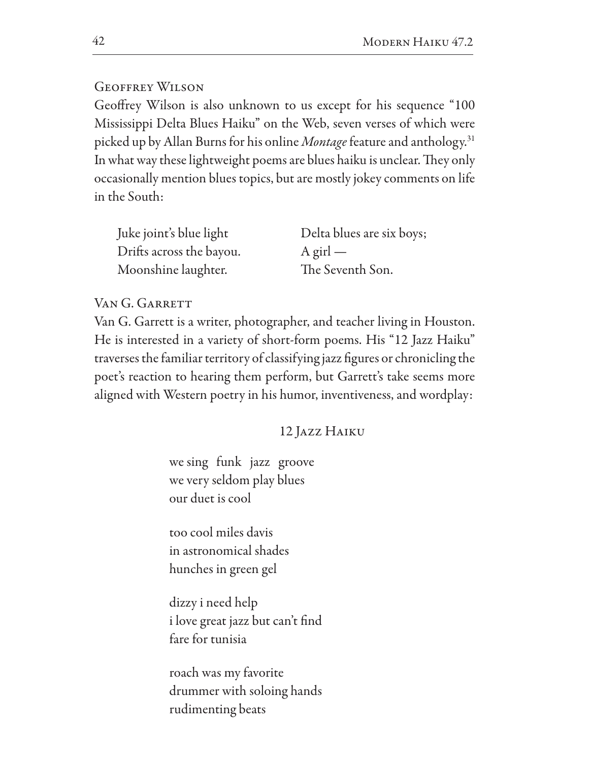# **GEOFFREY WILSON**

Geoffrey Wilson is also unknown to us except for his sequence "100 Mississippi Delta Blues Haiku" on the Web, seven verses of which were picked up by Allan Burns for his online *Montage* feature and anthology.<sup>31</sup> In what way these lightweight poems are blues haiku is unclear. They only occasionally mention blues topics, but are mostly jokey comments on life in the South:

| Juke joint's blue light  | Delta blues are six boys; |
|--------------------------|---------------------------|
| Drifts across the bayou. | $A$ girl —                |
| Moonshine laughter.      | The Seventh Son.          |

# VAN G. GARRETT

Van G. Garrett is a writer, photographer, and teacher living in Houston. He is interested in a variety of short-form poems. His "12 Jazz Haiku" traverses the familiar territory of classifying jazz figures or chronicling the poet's reaction to hearing them perform, but Garrett's take seems more aligned with Western poetry in his humor, inventiveness, and wordplay:

12 JAZZ HAIKU

we sing funk jazz groove we very seldom play blues our duet is cool

too cool miles davis in astronomical shades hunches in green gel

dizzy i need help i love great jazz but can't find fare for tunisia

roach was my favorite drummer with soloing hands rudimenting beats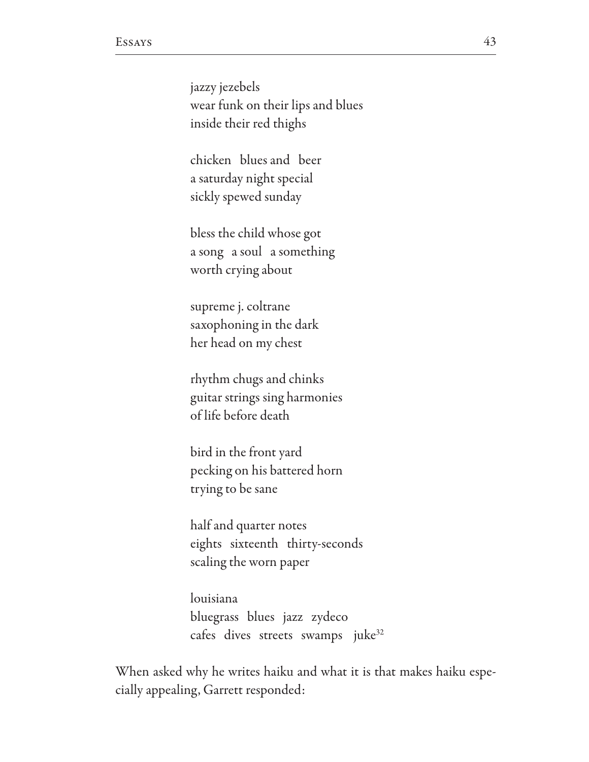jazzy jezebels wear funk on their lips and blues inside their red thighs

chicken blues and beer a saturday night special sickly spewed sunday

bless the child whose got a song a soul a something worth crying about

supreme j. coltrane saxophoning in the dark her head on my chest

rhythm chugs and chinks guitar strings sing harmonies of life before death

bird in the front yard pecking on his battered horn trying to be sane

half and quarter notes eights sixteenth thirty-seconds scaling the worn paper

louisiana bluegrass blues jazz zydeco cafes dives streets swamps juke<sup>32</sup>

When asked why he writes haiku and what it is that makes haiku especially appealing, Garrett responded: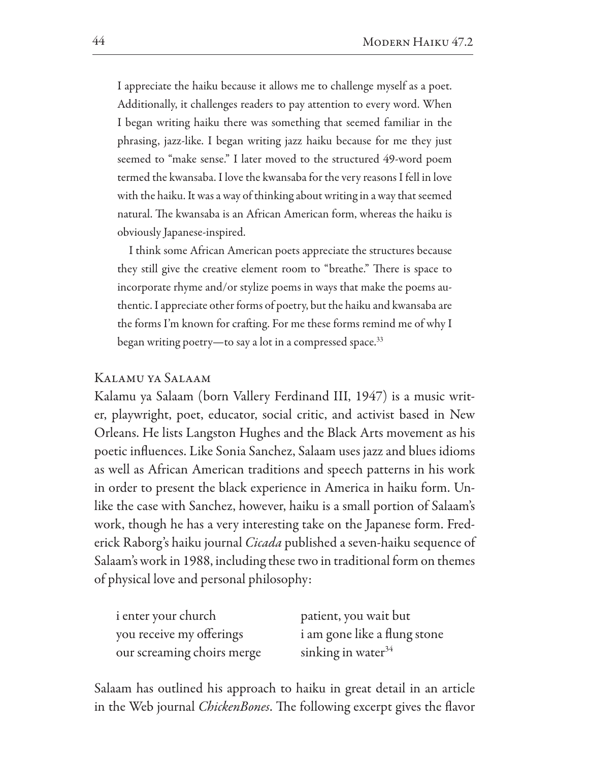I appreciate the haiku because it allows me to challenge myself as a poet. Additionally, it challenges readers to pay attention to every word. When I began writing haiku there was something that seemed familiar in the phrasing, jazz-like. I began writing jazz haiku because for me they just seemed to "make sense." I later moved to the structured 49-word poem termed the kwansaba. I love the kwansaba for the very reasons I fell in love with the haiku. It was a way of thinking about writing in a way that seemed natural. The kwansaba is an African American form, whereas the haiku is obviously Japanese-inspired.

I think some African American poets appreciate the structures because they still give the creative element room to "breathe." There is space to incorporate rhyme and/or stylize poems in ways that make the poems authentic. I appreciate other forms of poetry, but the haiku and kwansaba are the forms I'm known for crafting. For me these forms remind me of why I began writing poetry—to say a lot in a compressed space.<sup>33</sup>

### KALAMU YA SALAAM

Kalamu ya Salaam (born Vallery Ferdinand III, 1947) is a music writer, playwright, poet, educator, social critic, and activist based in New Orleans. He lists Langston Hughes and the Black Arts movement as his poetic influences. Like Sonia Sanchez, Salaam uses jazz and blues idioms as well as African American traditions and speech patterns in his work in order to present the black experience in America in haiku form. Unlike the case with Sanchez, however, haiku is a small portion of Salaam's work, though he has a very interesting take on the Japanese form. Frederick Raborg's haiku journal Cicada published a seven-haiku sequence of Salaam's work in 1988, including these two in traditional form on themes of physical love and personal philosophy:

| <i>i</i> enter your church | patient, you wait but        |
|----------------------------|------------------------------|
| you receive my offerings   | i am gone like a flung stone |
| our screaming choirs merge | sinking in water $34$        |

Salaam has outlined his approach to haiku in great detail in an article in the Web journal *ChickenBones*. The following excerpt gives the flavor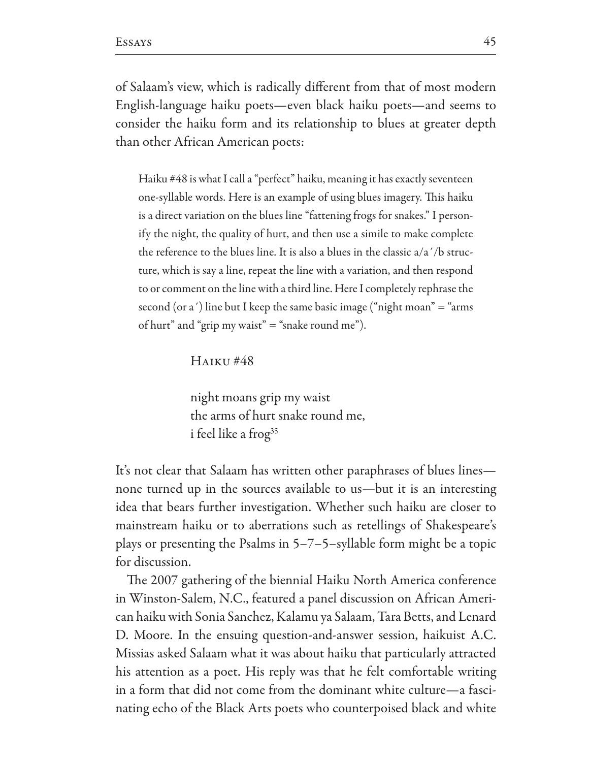of Salaam's view, which is radically different from that of most modern English-language haiku poets—even black haiku poets—and seems to consider the haiku form and its relationship to blues at greater depth than other African American poets:

Haiku #48 is what I call a "perfect" haiku, meaning it has exactly seventeen one-syllable words. Here is an example of using blues imagery. This haiku is a direct variation on the blues line "fattening frogs for snakes." I personify the night, the quality of hurt, and then use a simile to make complete the reference to the blues line. It is also a blues in the classic  $a/a'/b$  structure, which is say a line, repeat the line with a variation, and then respond to or comment on the line with a third line. Here I completely rephrase the second (or a') line but I keep the same basic image ("night moan"  $=$  "arms" of hurt" and "grip my waist" = "snake round me").

**HAIKU#48** 

night moans grip my waist the arms of hurt snake round me, i feel like a frog<sup>35</sup>

It's not clear that Salaam has written other paraphrases of blues lines none turned up in the sources available to us—but it is an interesting idea that bears further investigation. Whether such haiku are closer to mainstream haiku or to aberrations such as retellings of Shakespeare's plays or presenting the Psalms in  $5-7-5$ -syllable form might be a topic for discussion.

The 2007 gathering of the biennial Haiku North America conference in Winston-Salem, N.C., featured a panel discussion on African American haiku with Sonia Sanchez, Kalamu ya Salaam, Tara Betts, and Lenard D. Moore. In the ensuing question-and-answer session, haikuist A.C. Missias asked Salaam what it was about haiku that particularly attracted his attention as a poet. His reply was that he felt comfortable writing in a form that did not come from the dominant white culture-a fascinating echo of the Black Arts poets who counterpoised black and white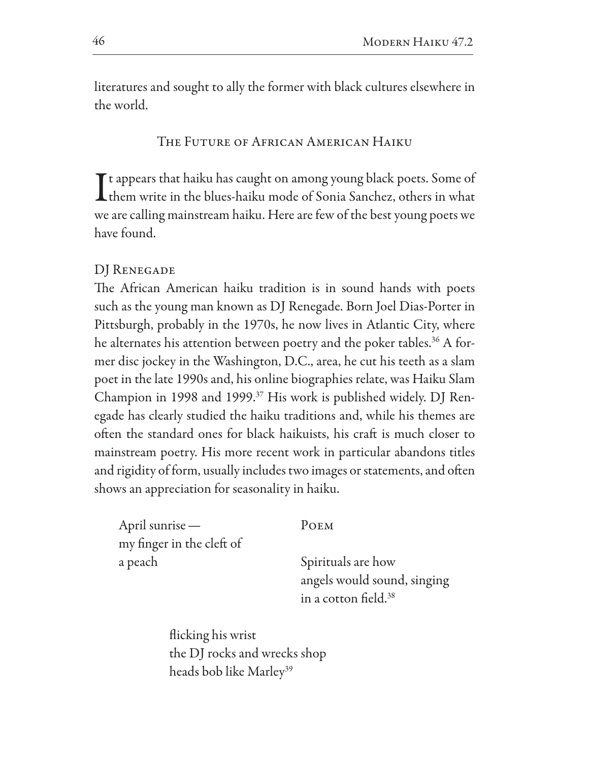literatures and sought to ally the former with black cultures elsewhere in the world.

THE FUTURE OF AFRICAN AMERICAN HAIKU

 $\mathsf T$  t appears that haiku has caught on among young black poets. Some of **L** them write in the blues-haiku mode of Sonia Sanchez, others in what we are calling mainstream haiku. Here are few of the best young poets we have found.

# DJ RENEGADE

The African American haiku tradition is in sound hands with poets such as the young man known as DJ Renegade. Born Joel Dias-Porter in Pittsburgh, probably in the 1970s, he now lives in Atlantic City, where he alternates his attention between poetry and the poker tables.<sup>36</sup> A former disc jockey in the Washington, D.C., area, he cut his teeth as a slam poet in the late 1990s and, his online biographies relate, was Haiku Slam Champion in 1998 and 1999.<sup>37</sup> His work is published widely. DJ Renegade has clearly studied the haiku traditions and, while his themes are often the standard ones for black haikuists, his craft is much closer to mainstream poetry. His more recent work in particular abandons titles and rigidity of form, usually includes two images or statements, and often shows an appreciation for seasonality in haiku.

| April sunrise —           | POEM                             |
|---------------------------|----------------------------------|
| my finger in the cleft of |                                  |
| a peach                   | Spirituals are how               |
|                           | angels would sound, singing      |
|                           | in a cotton field. <sup>38</sup> |

flicking his wrist the DJ rocks and wrecks shop heads bob like Marley<sup>39</sup>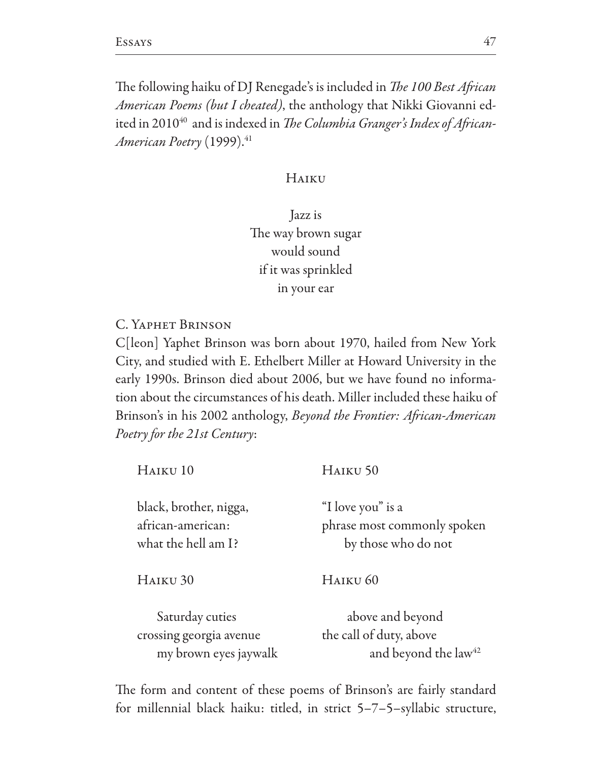The following haiku of DJ Renegade's is included in *The 100 Best African American Poems (but I cheated)*, the anthology that Nikki Giovanni edited in 2010<sup>40</sup> and is indexed in The Columbia Granger's Index of African-American Poetry (1999).<sup>41</sup>

# HAIKU

Jazz is The way brown sugar would sound if it was sprinkled in your ear

C. YAPHET BRINSON

C[leon] Yaphet Brinson was born about 1970, hailed from New York City, and studied with E. Ethelbert Miller at Howard University in the early 1990s. Brinson died about 2006, but we have found no information about the circumstances of his death. Miller included these haiku of Brinson's in his 2002 anthology, Beyond the Frontier: African-American Poetry for the 21st Century:

| HAIKU <sub>10</sub>                                                | HAIKU <sub>50</sub>                                                     |
|--------------------------------------------------------------------|-------------------------------------------------------------------------|
| black, brother, nigga,<br>african-american:<br>what the hell am I? | "I love you" is a<br>phrase most commonly spoken<br>by those who do not |
| HAIKU <sub>30</sub>                                                | HAIKU <sub>60</sub>                                                     |
| Saturday cuties<br>crossing georgia avenue                         | above and beyond<br>the call of duty, above                             |
| my brown eyes jaywalk                                              | and beyond the law <sup>42</sup>                                        |

The form and content of these poems of Brinson's are fairly standard for millennial black haiku: titled, in strict  $5-7-5$ -syllabic structure,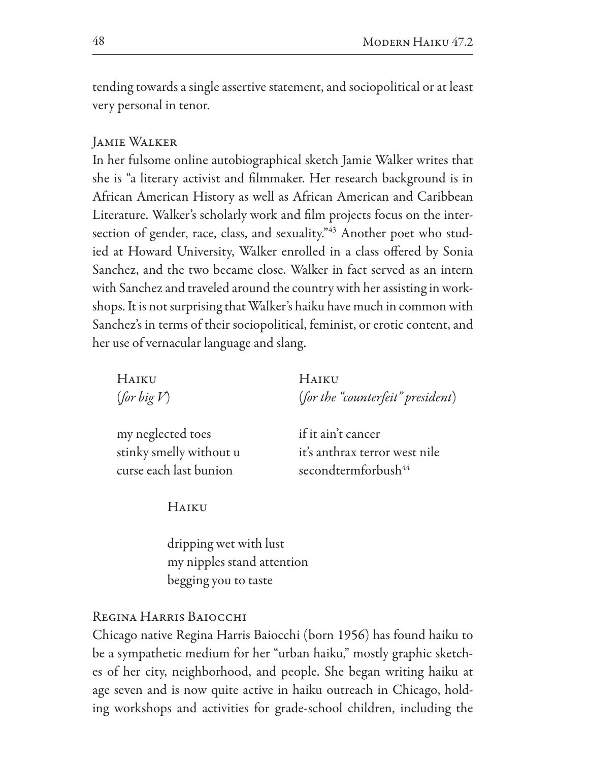tending towards a single assertive statement, and sociopolitical or at least very personal in tenor.

# JAMIE WALKER

In her fulsome online autobiographical sketch Jamie Walker writes that she is "a literary activist and filmmaker. Her research background is in African American History as well as African American and Caribbean Literature. Walker's scholarly work and film projects focus on the intersection of gender, race, class, and sexuality."<sup>43</sup> Another poet who studied at Howard University, Walker enrolled in a class offered by Sonia Sanchez, and the two became close. Walker in fact served as an intern with Sanchez and traveled around the country with her assisting in workshops. It is not surprising that Walker's haiku have much in common with Sanchez's in terms of their sociopolitical, feminist, or erotic content, and her use of vernacular language and slang.

| HAIKU       | <b>HAIKU</b>                      |
|-------------|-----------------------------------|
| (for big V) | (for the "counterfeit" president) |
|             |                                   |

my neglected toes stinky smelly without u curse each last bunion

if it ain't cancer it's anthrax terror west nile secondtermforbush<sup>44</sup>

HAIKU

dripping wet with lust my nipples stand attention begging you to taste

# REGINA HARRIS BAIOCCHI

Chicago native Regina Harris Baiocchi (born 1956) has found haiku to be a sympathetic medium for her "urban haiku," mostly graphic sketches of her city, neighborhood, and people. She began writing haiku at age seven and is now quite active in haiku outreach in Chicago, holding workshops and activities for grade-school children, including the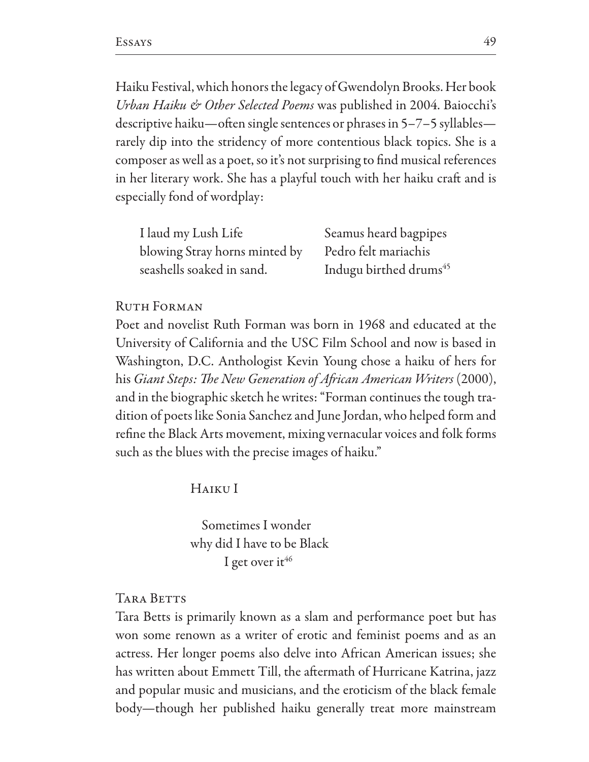Haiku Festival, which honors the legacy of Gwendolyn Brooks. Her book *Urban Haiku & Other Selected Poems* was published in 2004. Baiocchi's descriptive haiku—often single sentences or phrases in 5–7–5 syllables rarely dip into the stridency of more contentious black topics. She is a composer as well as a poet, so it's not surprising to find musical references in her literary work. She has a playful touch with her haiku craft and is especially fond of wordplay:

| I laud my Lush Life           | Seamus heard bagpipes              |
|-------------------------------|------------------------------------|
| blowing Stray horns minted by | Pedro felt mariachis               |
| seashells soaked in sand.     | Indugu birthed drums <sup>45</sup> |

#### **RUTH FORMAN**

Poet and novelist Ruth Forman was born in 1968 and educated at the University of California and the USC Film School and now is based in Washington, D.C. Anthologist Kevin Young chose a haiku of hers for his Giant Steps: The New Generation of African American Writers (2000), and in the biographic sketch he writes: "Forman continues the tough tradition of poets like Sonia Sanchez and June Jordan, who helped form and refine the Black Arts movement, mixing vernacular voices and folk forms such as the blues with the precise images of haiku."

HAIKU I

Sometimes I wonder why did I have to be Black I get over it<sup>46</sup>

**TARA BETTS** 

Tara Betts is primarily known as a slam and performance poet but has won some renown as a writer of erotic and feminist poems and as an actress. Her longer poems also delve into African American issues; she has written about Emmett Till, the aftermath of Hurricane Katrina, jazz and popular music and musicians, and the eroticism of the black female body-though her published haiku generally treat more mainstream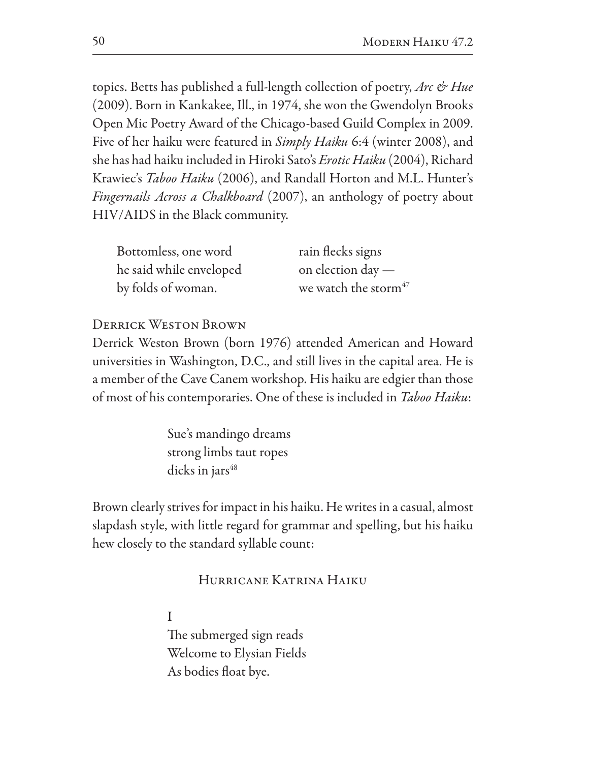topics. Betts has published a full-length collection of poetry, Arc & Hue (2009). Born in Kankakee, Ill., in 1974, she won the Gwendolyn Brooks Open Mic Poetry Award of the Chicago-based Guild Complex in 2009. Five of her haiku were featured in Simply Haiku 6:4 (winter 2008), and she has had haiku included in Hiroki Sato's *Erotic Haiku* (2004), Richard Krawiec's Taboo Haiku (2006), and Randall Horton and M.L. Hunter's *Fingernails Across a Chalkboard* (2007), an anthology of poetry about HIV/AIDS in the Black community.

| Bottomless, one word    | rain flecks signs                |
|-------------------------|----------------------------------|
| he said while enveloped | on election day $-$              |
| by folds of woman.      | we watch the storm <sup>47</sup> |

# **DERRICK WESTON BROWN**

Derrick Weston Brown (born 1976) attended American and Howard universities in Washington, D.C., and still lives in the capital area. He is a member of the Cave Canem workshop. His haiku are edgier than those of most of his contemporaries. One of these is included in Taboo Haiku:

> Sue's mandingo dreams strong limbs taut ropes dicks in jars $48$

Brown clearly strives for impact in his haiku. He writes in a casual, almost slapdash style, with little regard for grammar and spelling, but his haiku hew closely to the standard syllable count:

# HURRICANE KATRINA HAIKU

I The submerged sign reads Welcome to Elysian Fields As bodies float bye.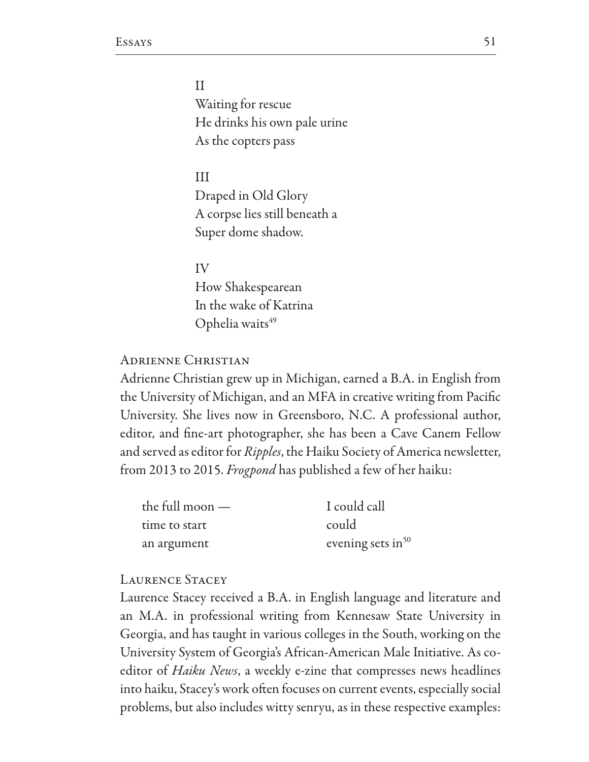$\mathbf{I}$ Waiting for rescue He drinks his own pale urine As the copters pass

 $III$ Draped in Old Glory A corpse lies still beneath a Super dome shadow.

IV How Shakespearean In the wake of Katrina Ophelia waits<sup>49</sup>

### **ADRIENNE CHRISTIAN**

Adrienne Christian grew up in Michigan, earned a B.A. in English from the University of Michigan, and an MFA in creative writing from Pacific University. She lives now in Greensboro, N.C. A professional author, editor, and fine-art photographer, she has been a Cave Canem Fellow and served as editor for *Ripples*, the Haiku Society of America newsletter, from 2013 to 2015. *Frogpond* has published a few of her haiku:

| the full moon $-$ | I could call         |
|-------------------|----------------------|
| time to start     | could                |
| an argument       | evening sets in $50$ |

### **LAURENCE STACEY**

Laurence Stacey received a B.A. in English language and literature and an M.A. in professional writing from Kennesaw State University in Georgia, and has taught in various colleges in the South, working on the University System of Georgia's African-American Male Initiative. As coeditor of *Haiku News*, a weekly e-zine that compresses news headlines into haiku, Stacey's work often focuses on current events, especially social problems, but also includes witty senryu, as in these respective examples: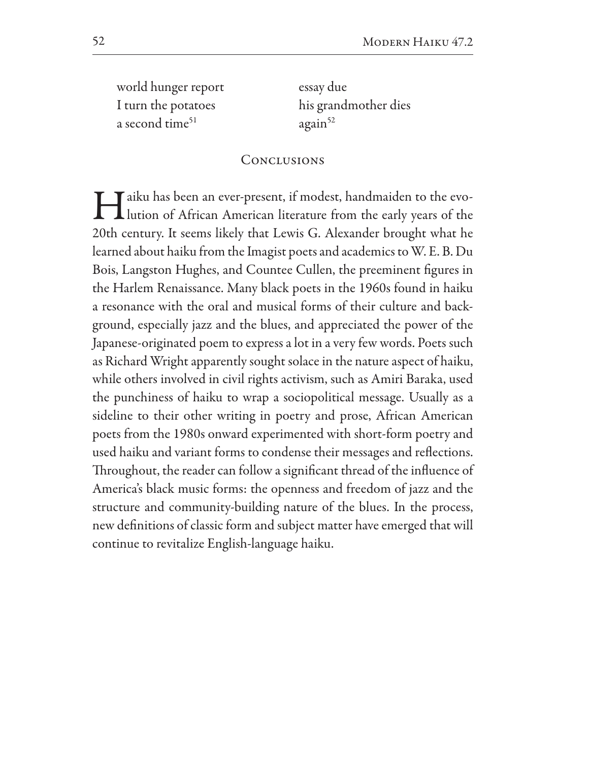world hunger report I turn the potatoes a second time<sup>51</sup>

essay due his grandmother dies  $again^{52}$ 

# CONCLUSIONS

I aiku has been an ever-present, if modest, handmaiden to the evo-<br>lution of African American literature from the early years of the 20th century. It seems likely that Lewis G. Alexander brought what he learned about haiku from the Imagist poets and academics to W. E. B. Du Bois, Langston Hughes, and Countee Cullen, the preeminent figures in the Harlem Renaissance. Many black poets in the 1960s found in haiku a resonance with the oral and musical forms of their culture and background, especially jazz and the blues, and appreciated the power of the Japanese-originated poem to express a lot in a very few words. Poets such as Richard Wright apparently sought solace in the nature aspect of haiku, while others involved in civil rights activism, such as Amiri Baraka, used the punchiness of haiku to wrap a sociopolitical message. Usually as a sideline to their other writing in poetry and prose, African American poets from the 1980s onward experimented with short-form poetry and used haiku and variant forms to condense their messages and reflections. Throughout, the reader can follow a significant thread of the influence of America's black music forms: the openness and freedom of jazz and the structure and community-building nature of the blues. In the process, new definitions of classic form and subject matter have emerged that will continue to revitalize English-language haiku.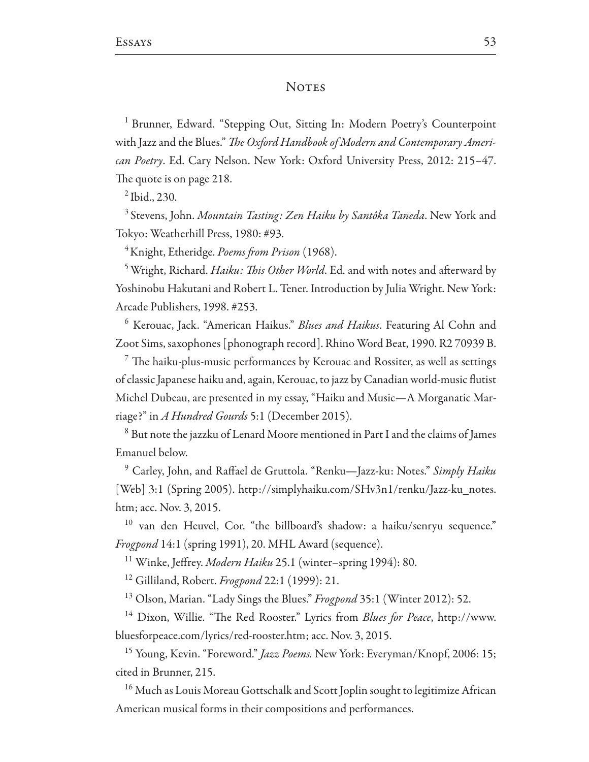### **NOTES**

<sup>1</sup> Brunner, Edward. "Stepping Out, Sitting In: Modern Poetry's Counterpoint with Jazz and the Blues." The Oxford Handbook of Modern and Contemporary American Poetry. Ed. Cary Nelson. New York: Oxford University Press, 2012: 215-47. The quote is on page 218.

 $^{2}$  Ibid., 230.

<sup>3</sup> Stevens, John. Mountain Tasting: Zen Haiku by Santôka Taneda. New York and Tokyo: Weatherhill Press, 1980: #93.

<sup>4</sup>Knight, Etheridge. Poems from Prison (1968).

<sup>5</sup> Wright, Richard. *Haiku: This Other World*. Ed. and with notes and afterward by Yoshinobu Hakutani and Robert L. Tener. Introduction by Julia Wright. New York: Arcade Publishers, 1998. #253.

<sup>6</sup> Kerouac, Jack. "American Haikus." *Blues and Haikus*. Featuring Al Cohn and Zoot Sims, saxophones [phonograph record]. Rhino Word Beat, 1990. R2 70939 B.

 $\frac{7}{7}$  The haiku-plus-music performances by Kerouac and Rossiter, as well as settings of classic Japanese haiku and, again, Kerouac, to jazz by Canadian world-music flutist Michel Dubeau, are presented in my essay, "Haiku and Music—A Morganatic Marriage?" in A Hundred Gourds 5:1 (December 2015).

<sup>8</sup> But note the jazzku of Lenard Moore mentioned in Part I and the claims of James Emanuel below.

<sup>9</sup> Carley, John, and Raffael de Gruttola. "Renku—Jazz-ku: Notes." *Simply Haiku* | Web| 3:1 (Spring 2005). http://simplyhaiku.com/SHv3n1/renku/Jazz-ku\_notes. htm; acc. Nov. 3, 2015.

<sup>10</sup> van den Heuvel, Cor. "the billboard's shadow: a haiku/senryu sequence." *Frogpond* 14:1 (spring 1991), 20. MHL Award (sequence).

<sup>11</sup> Winke, Jeffrey. Modern Haiku 25.1 (winter-spring 1994): 80.

<sup>12</sup> Gilliland, Robert. *Frogpond* 22:1 (1999): 21.

<sup>13</sup> Olson, Marian. "Lady Sings the Blues." *Frogpond* 35:1 (Winter 2012): 52.

<sup>14</sup> Dixon, Willie. "The Red Rooster." Lyrics from *Blues for Peace*, http://www. bluesforpeace.com/lyrics/red-rooster.htm; acc. Nov. 3, 2015.

<sup>15</sup> Young, Kevin. "Foreword." *Jazz Poems*. New York: Everyman/Knopf, 2006: 15; cited in Brunner, 215.

<sup>16</sup> Much as Louis Moreau Gottschalk and Scott Joplin sought to legitimize African American musical forms in their compositions and performances.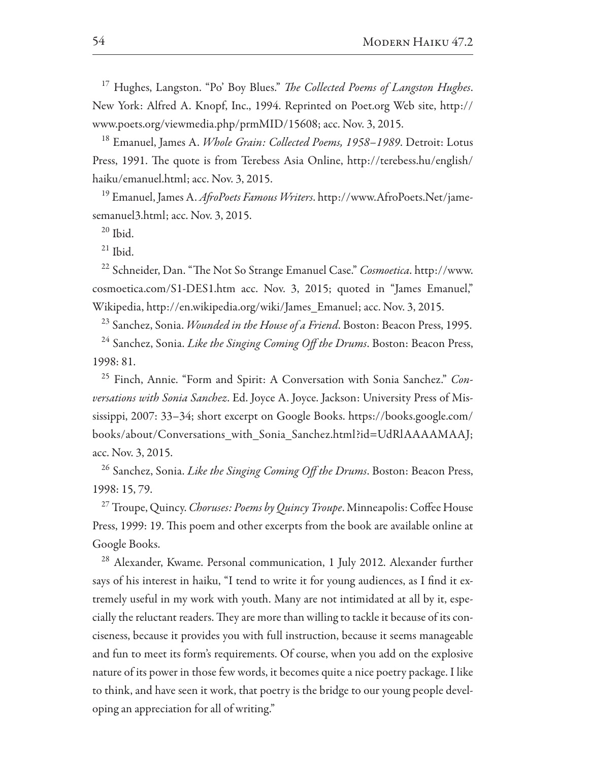<sup>17</sup> Hughes, Langston. "Po' Boy Blues." *The Collected Poems of Langston Hughes*. New York: Alfred A. Knopf, Inc., 1994. Reprinted on Poet.org Web site, http:// www.poets.org/viewmedia.php/prmMID/15608; acc. Nov. 3, 2015.

<sup>18</sup> Emanuel, James A. Whole Grain: Collected Poems, 1958–1989. Detroit: Lotus Press, 1991. The quote is from Terebess Asia Online, http://terebess.hu/english/ haiku/emanuel.html; acc. Nov. 3, 2015.

<sup>19</sup> Emanuel, James A. AfroPoets Famous Writers. http://www.AfroPoets.Net/jamesemanuel3.html; acc. Nov. 3, 2015.

 $20$  Ibid.

 $21$  Ibid.

<sup>22</sup> Schneider, Dan. "The Not So Strange Emanuel Case." Cosmoetica. http://www. cosmoetica.com/S1-DES1.htm acc. Nov. 3, 2015; quoted in "James Emanuel," Wikipedia, http://en.wikipedia.org/wiki/James Emanuel; acc. Nov. 3, 2015.

<sup>23</sup> Sanchez, Sonia. *Wounded in the House of a Friend*. Boston: Beacon Press, 1995.

<sup>24</sup> Sanchez, Sonia. Like the Singing Coming Off the Drums. Boston: Beacon Press, 1998: 81.

<sup>25</sup> Finch, Annie. "Form and Spirit: A Conversation with Sonia Sanchez." Conversations with Sonia Sanchez. Ed. Joyce A. Joyce. Jackson: University Press of Mississippi, 2007: 33–34; short excerpt on Google Books. https://books.google.com/ books/about/Conversations\_with\_Sonia\_Sanchez.html?id=UdRlAAAAMAAJ; acc. Nov. 3, 2015.

<sup>26</sup> Sanchez, Sonia. *Like the Singing Coming Off the Drums*. Boston: Beacon Press, 1998: 15, 79.

<sup>27</sup> Troupe, Quincy. Choruses: Poems by Quincy Troupe. Minneapolis: Coffee House Press, 1999: 19. This poem and other excerpts from the book are available online at Google Books.

<sup>28</sup> Alexander, Kwame. Personal communication, 1 July 2012. Alexander further says of his interest in haiku, "I tend to write it for young audiences, as I find it extremely useful in my work with youth. Many are not intimidated at all by it, especially the reluctant readers. They are more than willing to tackle it because of its conciseness, because it provides you with full instruction, because it seems manageable and fun to meet its form's requirements. Of course, when you add on the explosive nature of its power in those few words, it becomes quite a nice poetry package. I like to think, and have seen it work, that poetry is the bridge to our young people developing an appreciation for all of writing."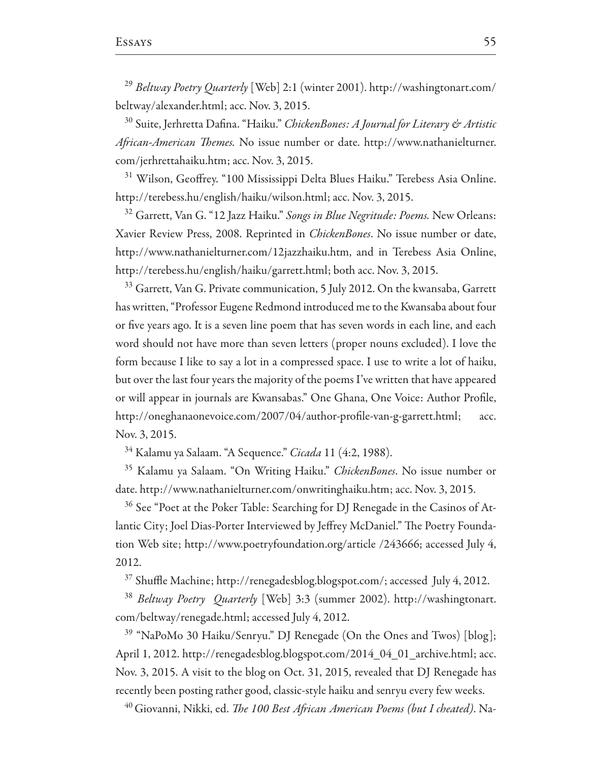<sup>29</sup> Beltway Poetry Quarterly [Web] 2:1 (winter 2001). http://washingtonart.com/ beltway/alexander.html; acc. Nov. 3, 2015.

<sup>30</sup> Suite, Jerhretta Dafina. "Haiku." ChickenBones: A Journal for Literary & Artistic African-American Themes. No issue number or date. http://www.nathanielturner. com/jerhrettahaiku.htm; acc. Nov. 3, 2015.

<sup>31</sup> Wilson, Geoffrey. "100 Mississippi Delta Blues Haiku." Terebess Asia Online. http://terebess.hu/english/haiku/wilson.html; acc. Nov. 3, 2015.

<sup>32</sup> Garrett, Van G. "12 Jazz Haiku." Songs in Blue Negritude: Poems. New Orleans: Xavier Review Press, 2008. Reprinted in *ChickenBones*. No issue number or date, http://www.nathanielturner.com/12jazzhaiku.htm, and in Terebess Asia Online, http://terebess.hu/english/haiku/garrett.html; both acc. Nov. 3, 2015.

<sup>33</sup> Garrett, Van G. Private communication, 5 July 2012. On the kwansaba, Garrett has written, "Professor Eugene Redmond introduced me to the Kwansaba about four or five years ago. It is a seven line poem that has seven words in each line, and each word should not have more than seven letters (proper nouns excluded). I love the form because I like to say a lot in a compressed space. I use to write a lot of haiku, but over the last four years the majority of the poems I've written that have appeared or will appear in journals are Kwansabas." One Ghana, One Voice: Author Profile, http://oneghanaonevoice.com/2007/04/author-profile-van-g-garrett.html; acc. Nov. 3, 2015.

<sup>34</sup> Kalamu ya Salaam. "A Sequence." *Cicada* 11 (4:2, 1988).

<sup>35</sup> Kalamu ya Salaam. "On Writing Haiku." *ChickenBones*. No issue number or date. http://www.nathanielturner.com/onwritinghaiku.htm; acc. Nov. 3, 2015.

<sup>36</sup> See "Poet at the Poker Table: Searching for DJ Renegade in the Casinos of Atlantic City; Joel Dias-Porter Interviewed by Jeffrey McDaniel." The Poetry Foundation Web site; http://www.poetryfoundation.org/article /243666; accessed July 4, 2012.

<sup>37</sup> Shuffle Machine; http://renegadesblog.blogspot.com/; accessed July 4, 2012.

<sup>38</sup> Beltway Poetry Quarterly [Web] 3:3 (summer 2002). http://washingtonart. com/beltway/renegade.html; accessed July 4, 2012.

<sup>39</sup> "NaPoMo 30 Haiku/Senryu." DJ Renegade (On the Ones and Twos) [blog]; April 1, 2012. http://renegadesblog.blogspot.com/2014\_04\_01\_archive.html; acc. Nov. 3, 2015. A visit to the blog on Oct. 31, 2015, revealed that DJ Renegade has recently been posting rather good, classic-style haiku and senryu every few weeks.

<sup>40</sup> Giovanni, Nikki, ed. *The 100 Best African American Poems (but I cheated)*. Na-